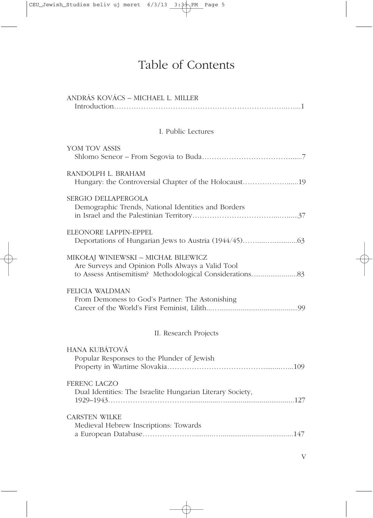# Table of Contents

| ANDRÁS KOVÁCS – MICHAEL L. MILLER                                                        |
|------------------------------------------------------------------------------------------|
| I. Public Lectures                                                                       |
| YOM TOV ASSIS                                                                            |
| RANDOLPH L. BRAHAM<br>Hungary: the Controversial Chapter of the Holocaust19              |
| <b>SERGIO DELLAPERGOLA</b><br>Demographic Trends, National Identities and Borders        |
| ELEONORE LAPPIN-EPPEL                                                                    |
| MIKOŁAJ WINIEWSKI - MICHAŁ BILEWICZ<br>Are Surveys and Opinion Polls Always a Valid Tool |
| FELICIA WALDMAN<br>From Demoness to God's Partner: The Astonishing                       |
| II. Research Projects                                                                    |
| <b>HANA KUBÁTOVÁ</b><br>Popular Responses to the Plunder of Jewish                       |
| FERENC LACZO<br>Dual Identities: The Israelite Hungarian Literary Society,               |
| <b>CARSTEN WILKE</b><br>Medieval Hebrew Inscriptions: Towards                            |

V